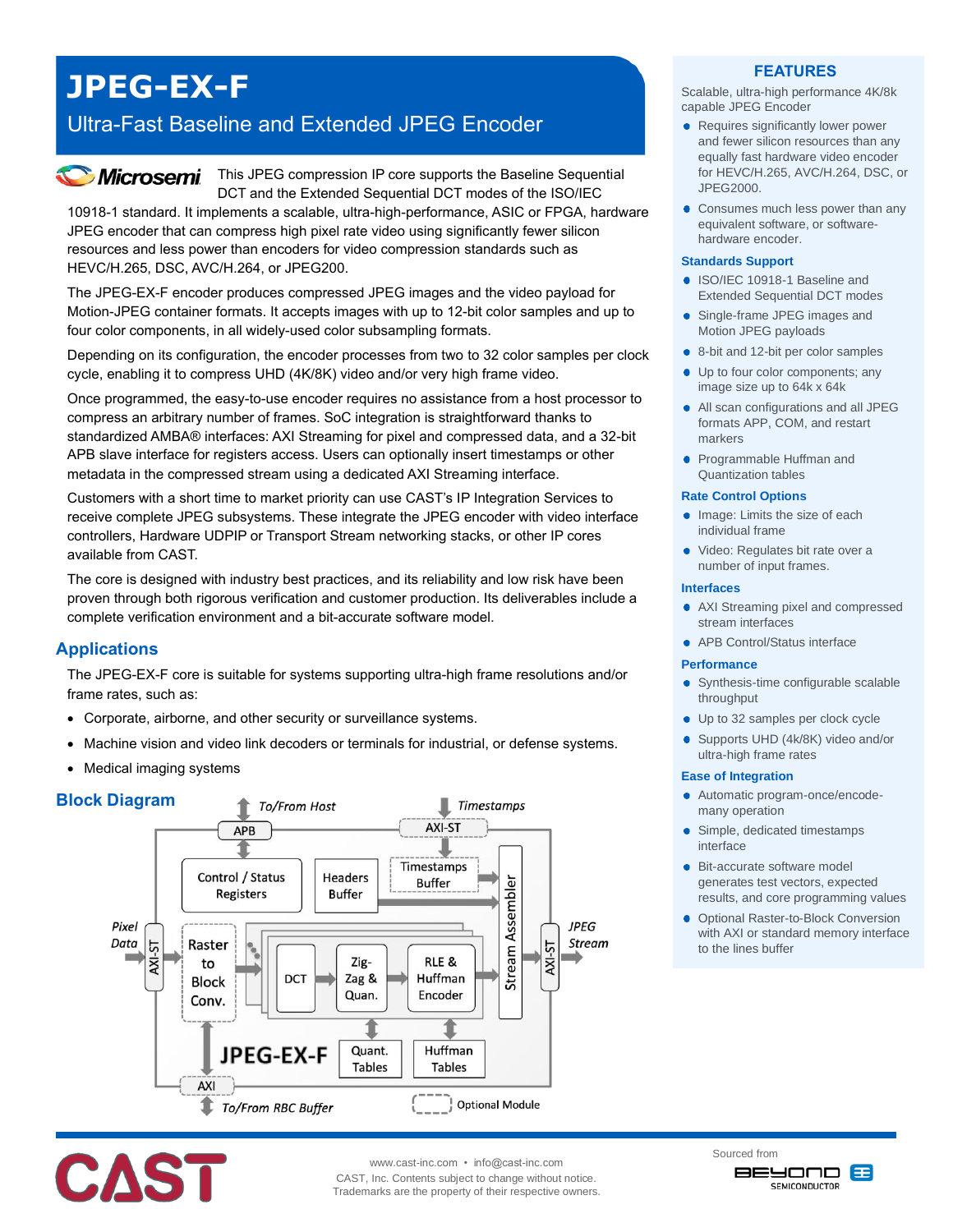# **JPEG-EX-F**

## Ultra-Fast Baseline and Extended JPEG Encoder

## *Microsemi*

This JPEG compression IP core supports the Baseline Sequential DCT and the Extended Sequential DCT modes of the ISO/IEC

10918-1 standard. It implements a scalable, ultra-high-performance, ASIC or FPGA, hardware JPEG encoder that can compress high pixel rate video using significantly fewer silicon resources and less power than encoders for video compression standards such as HEVC/H.265, DSC, AVC/H.264, or JPEG200.

The JPEG-EX-F encoder produces compressed JPEG images and the video payload for Motion-JPEG container formats. It accepts images with up to 12-bit color samples and up to four color components, in all widely-used color subsampling formats.

Depending on its configuration, the encoder processes from two to 32 color samples per clock cycle, enabling it to compress UHD (4K/8K) video and/or very high frame video.

Once programmed, the easy-to-use encoder requires no assistance from a host processor to compress an arbitrary number of frames. SoC integration is straightforward thanks to standardized AMBA® interfaces: AXI Streaming for pixel and compressed data, and a 32-bit APB slave interface for registers access. Users can optionally insert timestamps or other metadata in the compressed stream using a dedicated AXI Streaming interface.

Customers with a short time to market priority can use CAST's IP Integration Services to receive complete JPEG subsystems. These integrate the JPEG encoder with video interface controllers, Hardware UDPIP or Transport Stream networking stacks, or other IP cores available from CAST.

The core is designed with industry best practices, and its reliability and low risk have been proven through both rigorous verification and customer production. Its deliverables include a complete verification environment and a bit-accurate software model.

## **Applications**

The JPEG-EX-F core is suitable for systems supporting ultra-high frame resolutions and/or frame rates, such as:

- Corporate, airborne, and other security or surveillance systems.
- Machine vision and video link decoders or terminals for industrial, or defense systems.
- Medical imaging systems

## **Block Diagram**





www.cast-inc.com • info@cast-inc.com

**Timestamps** 

CAST, Inc. Contents subject to change without notice. Trademarks are the property of their respective owners.

### **FEATURES**

Scalable, ultra-high performance 4K/8k capable JPEG Encoder

- Requires significantly lower power and fewer silicon resources than any equally fast hardware video encoder for HEVC/H.265, AVC/H.264, DSC, or JPEG2000.
- Consumes much less power than any equivalent software, or softwarehardware encoder.

#### **Standards Support**

- ISO/IEC 10918-1 Baseline and Extended Sequential DCT modes
- Single-frame JPEG images and Motion JPEG payloads
- 8-bit and 12-bit per color samples
- Up to four color components; any image size up to 64k x 64k
- All scan configurations and all JPEG formats APP, COM, and restart markers
- Programmable Huffman and Quantization tables

#### **Rate Control Options**

- Image: Limits the size of each individual frame
- Video: Regulates bit rate over a number of input frames.

#### **Interfaces**

- AXI Streaming pixel and compressed stream interfaces
- APB Control/Status interface

#### **Performance**

- Synthesis-time configurable scalable throughput
- Up to 32 samples per clock cycle
- Supports UHD (4k/8K) video and/or ultra-high frame rates

#### **Ease of Integration**

- Automatic program-once/encodemany operation
- Simple, dedicated timestamps ٠ interface
- **Bit-accurate software model** generates test vectors, expected results, and core programming values
- **Optional Raster-to-Block Conversion** with AXI or standard memory interface to the lines buffer